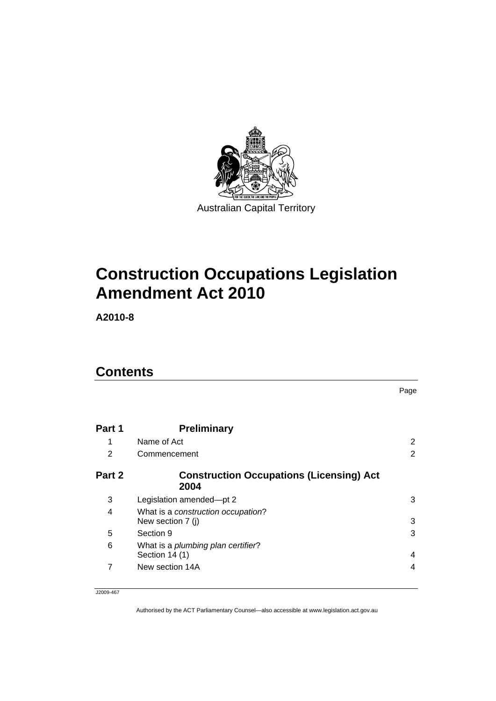

# **[Construction Occupations Legislation](#page-2-0)  [Amendment Act 2010](#page-2-0)**

**A2010-8** 

## **Contents**

|        |                                                              | Page |
|--------|--------------------------------------------------------------|------|
| Part 1 | <b>Preliminary</b>                                           |      |
| 1      | Name of Act                                                  | 2    |
| 2      | Commencement                                                 | 2    |
| Part 2 | <b>Construction Occupations (Licensing) Act</b><br>2004      |      |
| 3      | Legislation amended-pt 2                                     | 3    |
| 4      | What is a construction occupation?<br>New section 7 (j)      | 3    |
| 5      | Section 9                                                    | 3    |
| 6      | What is a <i>plumbing plan certifier</i> ?<br>Section 14 (1) | 4    |
| 7      | New section 14A                                              | 4    |

J2009-467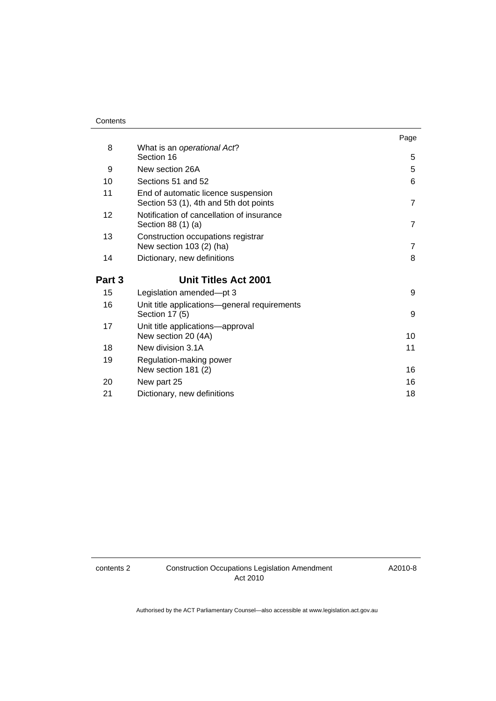#### **Contents**

|        |                                                                               | Page           |
|--------|-------------------------------------------------------------------------------|----------------|
| 8      | What is an operational Act?                                                   |                |
|        | Section 16                                                                    | 5              |
| 9      | New section 26A                                                               | 5              |
| 10     | Sections 51 and 52                                                            | 6              |
| 11     | End of automatic licence suspension<br>Section 53 (1), 4th and 5th dot points | $\overline{7}$ |
| 12     | Notification of cancellation of insurance<br>Section 88 (1) (a)               | $\overline{7}$ |
| 13     | Construction occupations registrar<br>New section 103 (2) (ha)                | $\overline{7}$ |
| 14     | Dictionary, new definitions                                                   | 8              |
| Part 3 | <b>Unit Titles Act 2001</b>                                                   |                |
| 15     | Legislation amended-pt 3                                                      | 9              |
| 16     | Unit title applications-general requirements<br>Section 17 (5)                | 9              |
| 17     | Unit title applications-approval<br>New section 20 (4A)                       | 10             |
| 18     | New division 3.1A                                                             | 11             |
| 19     | Regulation-making power<br>New section 181 (2)                                | 16             |
| 20     | New part 25                                                                   | 16             |
| 21     | Dictionary, new definitions                                                   | 18             |

A2010-8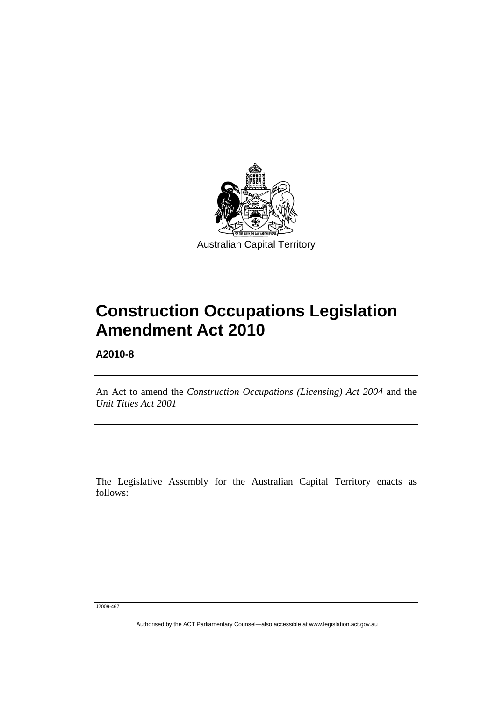<span id="page-2-0"></span>

# **Construction Occupations Legislation Amendment Act 2010**

**A2010-8** 

An Act to amend the *Construction Occupations (Licensing) Act 2004* and the *Unit Titles Act 2001* 

The Legislative Assembly for the Australian Capital Territory enacts as follows:

J2009-467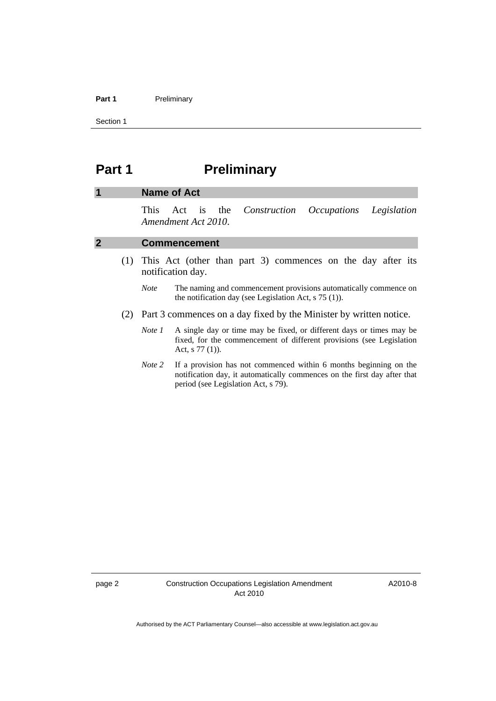#### <span id="page-3-0"></span>Part 1 **Preliminary**

Section 1

## **Part 1** Preliminary

#### **1 Name of Act**

This Act is the *Construction Occupations Legislation Amendment Act 2010*.

#### **2 Commencement**

- (1) This Act (other than part 3) commences on the day after its notification day.
	- *Note* The naming and commencement provisions automatically commence on the notification day (see Legislation Act, s 75 (1)).
- (2) Part 3 commences on a day fixed by the Minister by written notice.
	- *Note 1* A single day or time may be fixed, or different days or times may be fixed, for the commencement of different provisions (see Legislation Act, s 77 (1)).
	- *Note 2* If a provision has not commenced within 6 months beginning on the notification day, it automatically commences on the first day after that period (see Legislation Act, s 79).

A2010-8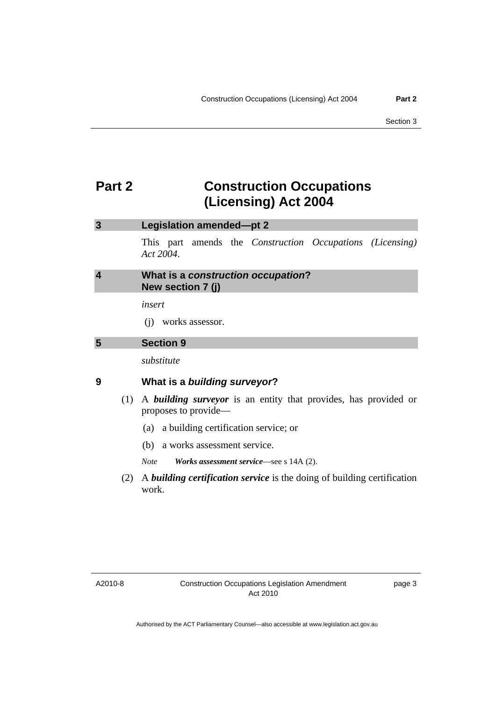## <span id="page-4-0"></span>**Part 2 Construction Occupations (Licensing) Act 2004**

#### **3 Legislation amended—pt 2**

This part amends the *Construction Occupations (Licensing) Act 2004*.

| 4 | What is a construction occupation? |
|---|------------------------------------|
|   | New section 7 (j)                  |

*insert* 

(j) works assessor.

#### **5 Section 9**

*substitute* 

#### **9 What is a** *building surveyor***?**

- (1) A *building surveyor* is an entity that provides, has provided or proposes to provide—
	- (a) a building certification service; or
	- (b) a works assessment service.

*Note Works assessment service*—see s 14A (2).

 (2) A *building certification service* is the doing of building certification work.

A2010-8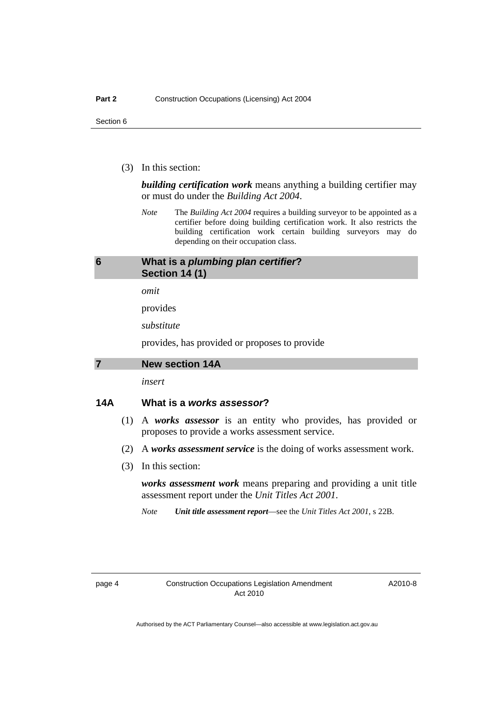<span id="page-5-0"></span>(3) In this section:

*building certification work* means anything a building certifier may or must do under the *Building Act 2004*.

*Note* The *Building Act 2004* requires a building surveyor to be appointed as a certifier before doing building certification work. It also restricts the building certification work certain building surveyors may do depending on their occupation class.

#### **6 What is a** *plumbing plan certifier***? Section 14 (1)**

*omit* 

provides

*substitute* 

provides, has provided or proposes to provide

**7 New section 14A** 

*insert* 

#### **14A What is a** *works assessor***?**

- (1) A *works assessor* is an entity who provides, has provided or proposes to provide a works assessment service.
- (2) A *works assessment service* is the doing of works assessment work.
- (3) In this section:

*works assessment work* means preparing and providing a unit title assessment report under the *Unit Titles Act 2001*.

*Note Unit title assessment report*—see the *Unit Titles Act 2001*, s 22B.

A2010-8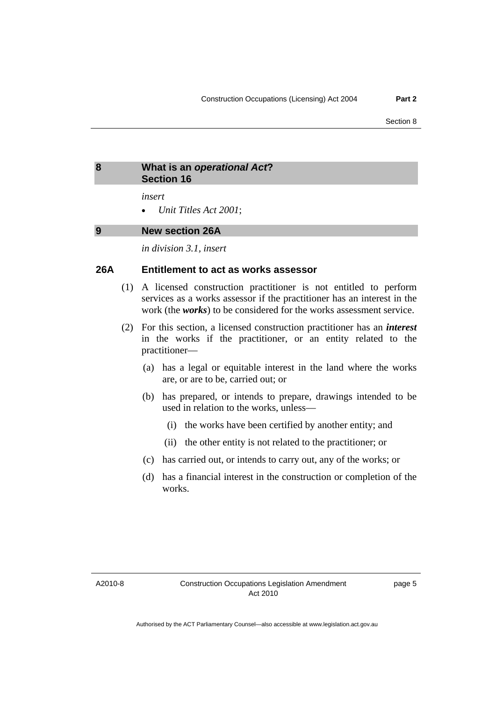#### <span id="page-6-0"></span>**8 What is an** *operational Act***? Section 16**

*insert* 

• *Unit Titles Act 2001*;

#### **9 New section 26A**

*in division 3.1, insert* 

#### **26A Entitlement to act as works assessor**

- (1) A licensed construction practitioner is not entitled to perform services as a works assessor if the practitioner has an interest in the work (the *works*) to be considered for the works assessment service.
- (2) For this section, a licensed construction practitioner has an *interest*  in the works if the practitioner, or an entity related to the practitioner—
	- (a) has a legal or equitable interest in the land where the works are, or are to be, carried out; or
	- (b) has prepared, or intends to prepare, drawings intended to be used in relation to the works, unless—
		- (i) the works have been certified by another entity; and
		- (ii) the other entity is not related to the practitioner; or
	- (c) has carried out, or intends to carry out, any of the works; or
	- (d) has a financial interest in the construction or completion of the works.

A2010-8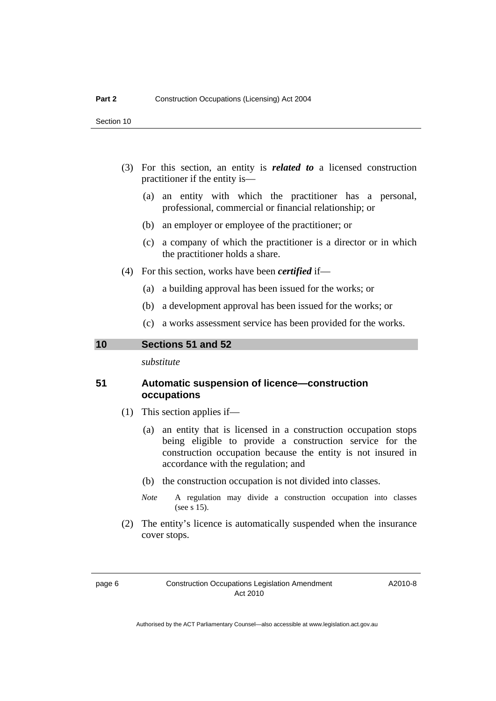- <span id="page-7-0"></span> (3) For this section, an entity is *related to* a licensed construction practitioner if the entity is—
	- (a) an entity with which the practitioner has a personal, professional, commercial or financial relationship; or
	- (b) an employer or employee of the practitioner; or
	- (c) a company of which the practitioner is a director or in which the practitioner holds a share.
- (4) For this section, works have been *certified* if—
	- (a) a building approval has been issued for the works; or
	- (b) a development approval has been issued for the works; or
	- (c) a works assessment service has been provided for the works.

**10 Sections 51 and 52** 

*substitute* 

#### **51 Automatic suspension of licence—construction occupations**

- (1) This section applies if—
	- (a) an entity that is licensed in a construction occupation stops being eligible to provide a construction service for the construction occupation because the entity is not insured in accordance with the regulation; and
	- (b) the construction occupation is not divided into classes.
	- *Note* A regulation may divide a construction occupation into classes (see s 15).
- (2) The entity's licence is automatically suspended when the insurance cover stops.

A2010-8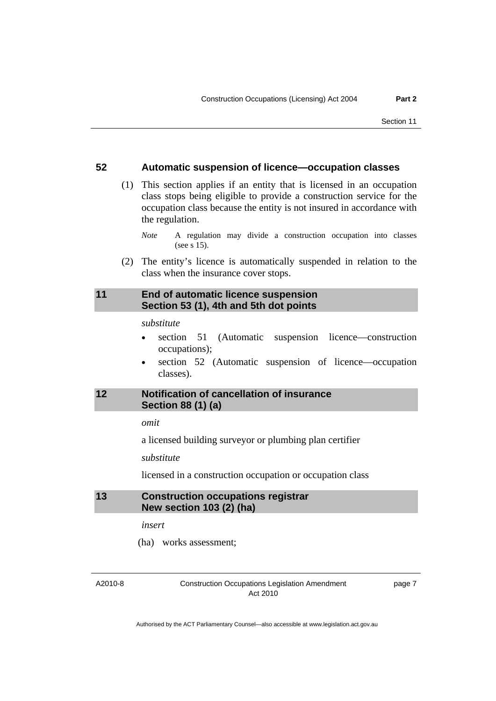#### <span id="page-8-0"></span>**52 Automatic suspension of licence—occupation classes**

 (1) This section applies if an entity that is licensed in an occupation class stops being eligible to provide a construction service for the occupation class because the entity is not insured in accordance with the regulation.

*Note* A regulation may divide a construction occupation into classes (see s 15).

 (2) The entity's licence is automatically suspended in relation to the class when the insurance cover stops.

#### **11 End of automatic licence suspension Section 53 (1), 4th and 5th dot points**

*substitute* 

- section 51 (Automatic suspension licence—construction occupations);
- section 52 (Automatic suspension of licence—occupation classes).

#### **12 Notification of cancellation of insurance Section 88 (1) (a)**

*omit* 

a licensed building surveyor or plumbing plan certifier

*substitute* 

licensed in a construction occupation or occupation class

#### **13 Construction occupations registrar New section 103 (2) (ha)**

*insert* 

(ha) works assessment;

A2010-8

Construction Occupations Legislation Amendment Act 2010

page 7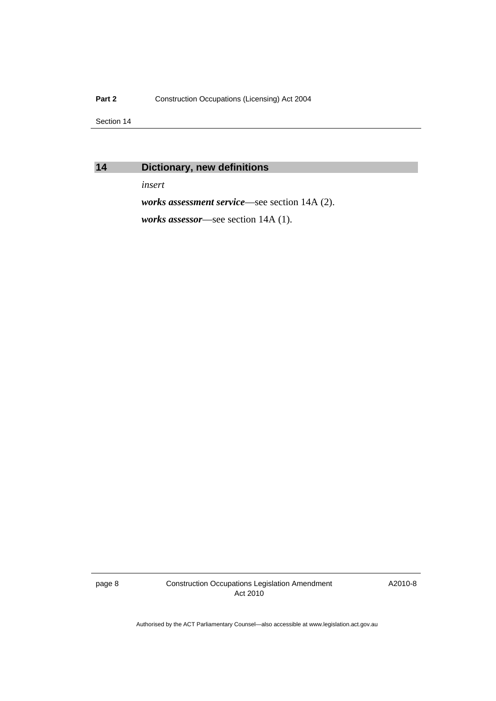#### <span id="page-9-0"></span>Part 2 **Construction Occupations (Licensing) Act 2004**

Section 14

## **14 Dictionary, new definitions**

*insert* 

*works assessment service*—see section 14A (2).

*works assessor*—see section 14A (1).

page 8 Construction Occupations Legislation Amendment Act 2010

A2010-8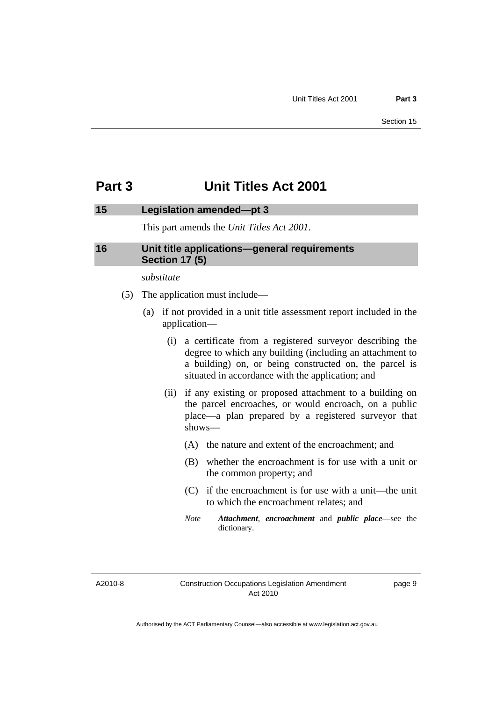## <span id="page-10-0"></span>**Part 3 Unit Titles Act 2001**

#### **15 Legislation amended—pt 3**

This part amends the *Unit Titles Act 2001*.

#### **16 Unit title applications—general requirements Section 17 (5)**

*substitute* 

- (5) The application must include—
	- (a) if not provided in a unit title assessment report included in the application—
		- (i) a certificate from a registered surveyor describing the degree to which any building (including an attachment to a building) on, or being constructed on, the parcel is situated in accordance with the application; and
		- (ii) if any existing or proposed attachment to a building on the parcel encroaches, or would encroach, on a public place—a plan prepared by a registered surveyor that shows—
			- (A) the nature and extent of the encroachment; and
			- (B) whether the encroachment is for use with a unit or the common property; and
			- (C) if the encroachment is for use with a unit—the unit to which the encroachment relates; and
			- *Note Attachment*, *encroachment* and *public place*—see the dictionary.

A2010-8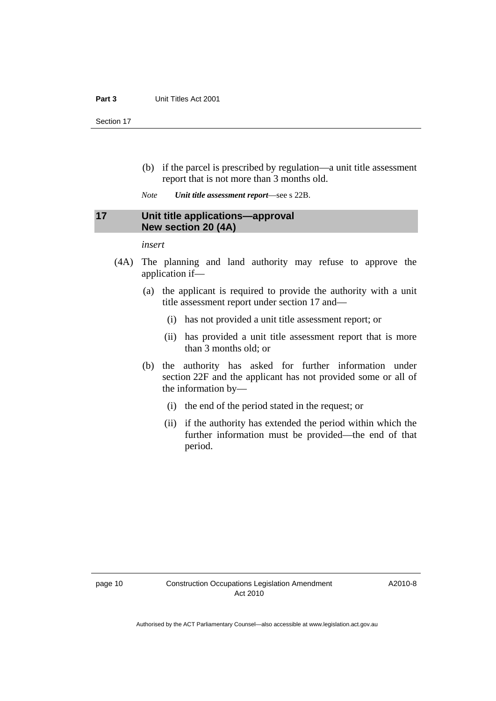- <span id="page-11-0"></span> (b) if the parcel is prescribed by regulation—a unit title assessment report that is not more than 3 months old.
- *Note Unit title assessment report*—see s 22B.

#### **17 Unit title applications—approval New section 20 (4A)**

*insert* 

- (4A) The planning and land authority may refuse to approve the application if—
	- (a) the applicant is required to provide the authority with a unit title assessment report under section 17 and—
		- (i) has not provided a unit title assessment report; or
		- (ii) has provided a unit title assessment report that is more than 3 months old; or
	- (b) the authority has asked for further information under section 22F and the applicant has not provided some or all of the information by—
		- (i) the end of the period stated in the request; or
		- (ii) if the authority has extended the period within which the further information must be provided—the end of that period.

A2010-8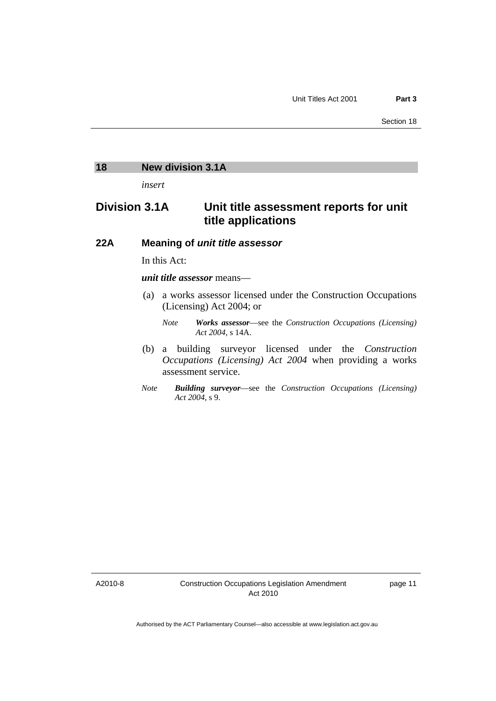#### <span id="page-12-0"></span>**18 New division 3.1A**

*insert* 

## **Division 3.1A Unit title assessment reports for unit title applications**

#### **22A Meaning of** *unit title assessor*

In this Act:

#### *unit title assessor* means—

 (a) a works assessor licensed under the Construction Occupations (Licensing) Act 2004; or

- (b) a building surveyor licensed under the *Construction Occupations (Licensing) Act 2004* when providing a works assessment service.
- *Note Building surveyor*—see the *Construction Occupations (Licensing) Act 2004*, s 9.

A2010-8

*Note Works assessor*—see the *Construction Occupations (Licensing) Act 2004*, s 14A.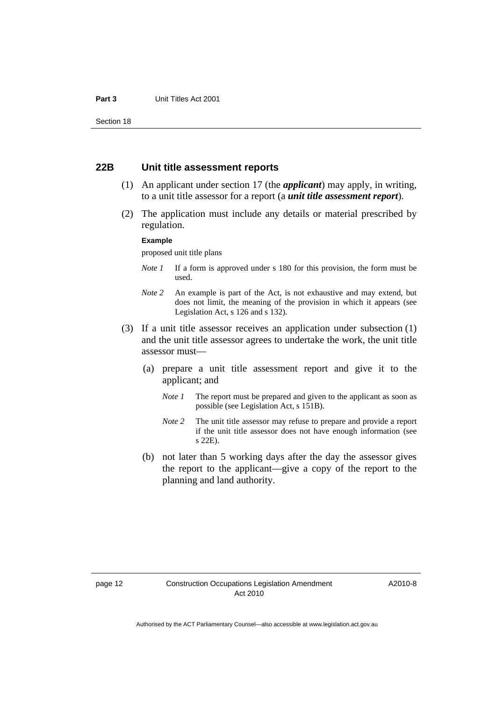#### **22B Unit title assessment reports**

- (1) An applicant under section 17 (the *applicant*) may apply, in writing, to a unit title assessor for a report (a *unit title assessment report*).
- (2) The application must include any details or material prescribed by regulation.

#### **Example**

proposed unit title plans

- *Note 1* If a form is approved under s 180 for this provision, the form must be used.
- *Note 2* An example is part of the Act, is not exhaustive and may extend, but does not limit, the meaning of the provision in which it appears (see Legislation Act, s 126 and s 132).
- (3) If a unit title assessor receives an application under subsection (1) and the unit title assessor agrees to undertake the work, the unit title assessor must—
	- (a) prepare a unit title assessment report and give it to the applicant; and
		- *Note 1* The report must be prepared and given to the applicant as soon as possible (see Legislation Act, s 151B).
		- *Note* 2 The unit title assessor may refuse to prepare and provide a report if the unit title assessor does not have enough information (see s 22E).
	- (b) not later than 5 working days after the day the assessor gives the report to the applicant—give a copy of the report to the planning and land authority.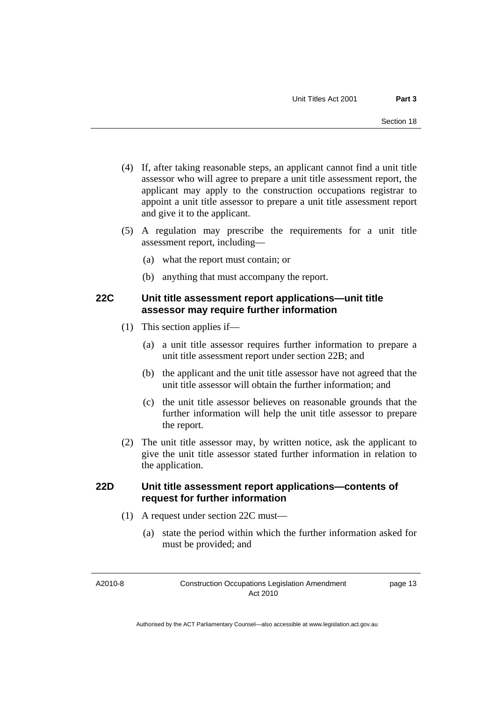- (4) If, after taking reasonable steps, an applicant cannot find a unit title assessor who will agree to prepare a unit title assessment report, the applicant may apply to the construction occupations registrar to appoint a unit title assessor to prepare a unit title assessment report and give it to the applicant.
- (5) A regulation may prescribe the requirements for a unit title assessment report, including—
	- (a) what the report must contain; or
	- (b) anything that must accompany the report.

### **22C Unit title assessment report applications—unit title assessor may require further information**

- (1) This section applies if—
	- (a) a unit title assessor requires further information to prepare a unit title assessment report under section 22B; and
	- (b) the applicant and the unit title assessor have not agreed that the unit title assessor will obtain the further information; and
	- (c) the unit title assessor believes on reasonable grounds that the further information will help the unit title assessor to prepare the report.
- (2) The unit title assessor may, by written notice, ask the applicant to give the unit title assessor stated further information in relation to the application.

### **22D Unit title assessment report applications—contents of request for further information**

- (1) A request under section 22C must—
	- (a) state the period within which the further information asked for must be provided; and

A2010-8

Construction Occupations Legislation Amendment Act 2010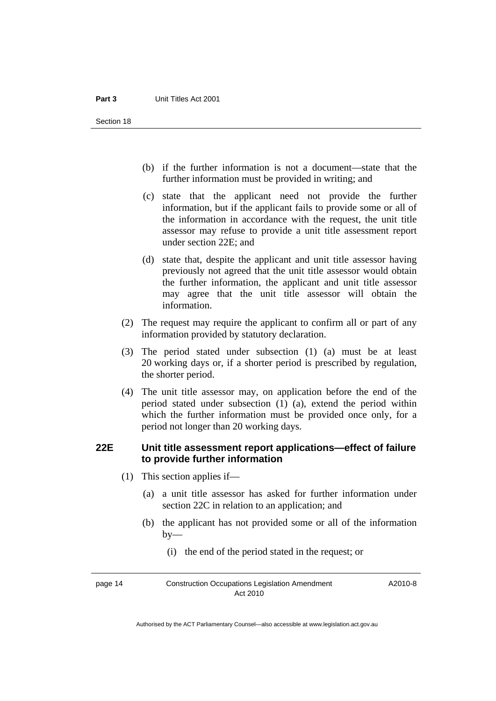- (b) if the further information is not a document—state that the further information must be provided in writing; and
- (c) state that the applicant need not provide the further information, but if the applicant fails to provide some or all of the information in accordance with the request, the unit title assessor may refuse to provide a unit title assessment report under section 22E; and
- (d) state that, despite the applicant and unit title assessor having previously not agreed that the unit title assessor would obtain the further information, the applicant and unit title assessor may agree that the unit title assessor will obtain the information.
- (2) The request may require the applicant to confirm all or part of any information provided by statutory declaration.
- (3) The period stated under subsection (1) (a) must be at least 20 working days or, if a shorter period is prescribed by regulation, the shorter period.
- (4) The unit title assessor may, on application before the end of the period stated under subsection (1) (a), extend the period within which the further information must be provided once only, for a period not longer than 20 working days.

#### **22E Unit title assessment report applications—effect of failure to provide further information**

- (1) This section applies if—
	- (a) a unit title assessor has asked for further information under section 22C in relation to an application; and
	- (b) the applicant has not provided some or all of the information  $by-$ 
		- (i) the end of the period stated in the request; or

page 14 Construction Occupations Legislation Amendment Act 2010

A2010-8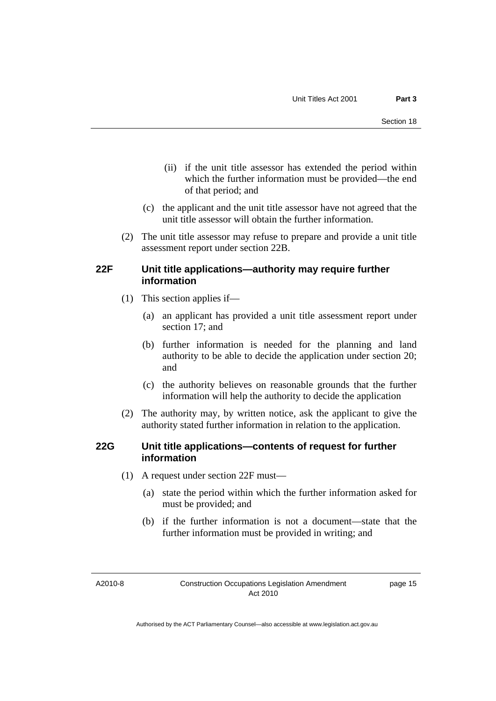- (ii) if the unit title assessor has extended the period within which the further information must be provided—the end of that period; and
- (c) the applicant and the unit title assessor have not agreed that the unit title assessor will obtain the further information.
- (2) The unit title assessor may refuse to prepare and provide a unit title assessment report under section 22B.

#### **22F Unit title applications—authority may require further information**

- (1) This section applies if—
	- (a) an applicant has provided a unit title assessment report under section 17; and
	- (b) further information is needed for the planning and land authority to be able to decide the application under section 20; and
	- (c) the authority believes on reasonable grounds that the further information will help the authority to decide the application
- (2) The authority may, by written notice, ask the applicant to give the authority stated further information in relation to the application.

#### **22G Unit title applications—contents of request for further information**

- (1) A request under section 22F must—
	- (a) state the period within which the further information asked for must be provided; and
	- (b) if the further information is not a document—state that the further information must be provided in writing; and

A2010-8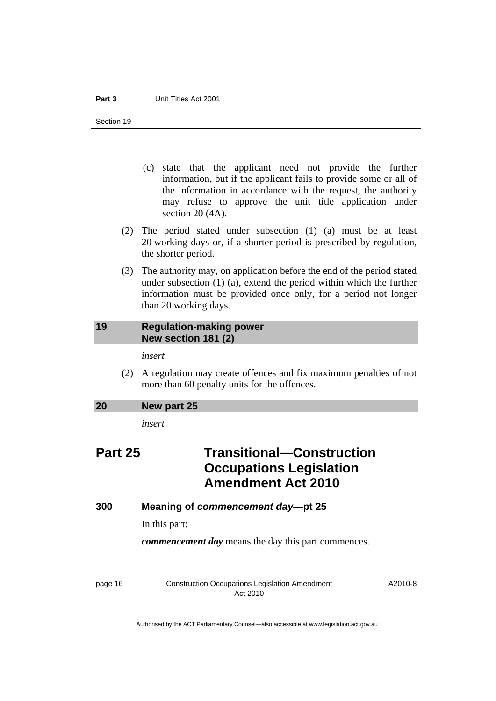- <span id="page-17-0"></span> (c) state that the applicant need not provide the further information, but if the applicant fails to provide some or all of the information in accordance with the request, the authority may refuse to approve the unit title application under section 20 (4A).
- (2) The period stated under subsection (1) (a) must be at least 20 working days or, if a shorter period is prescribed by regulation, the shorter period.
- (3) The authority may, on application before the end of the period stated under subsection (1) (a), extend the period within which the further information must be provided once only, for a period not longer than 20 working days.

#### **19 Regulation-making power New section 181 (2)**

*insert* 

 (2) A regulation may create offences and fix maximum penalties of not more than 60 penalty units for the offences.

## **20 New part 25**

*insert* 

## **Part 25 Transitional—Construction Occupations Legislation Amendment Act 2010**

#### **300 Meaning of** *commencement day***—pt 25**

In this part:

*commencement day* means the day this part commences.

page 16 Construction Occupations Legislation Amendment Act 2010

A2010-8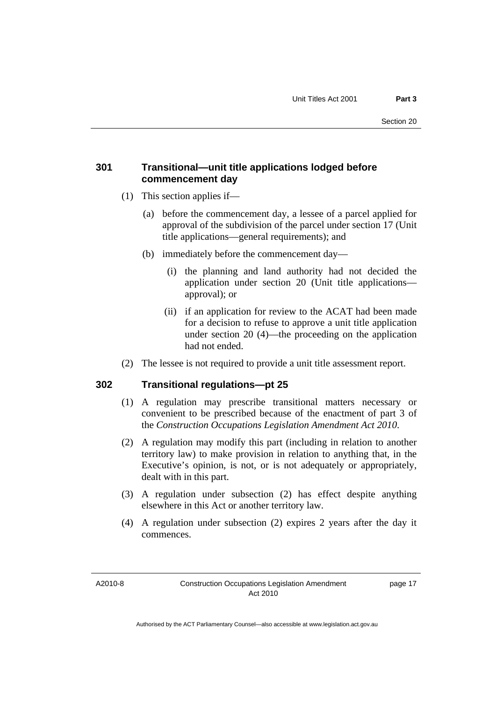#### **301 Transitional—unit title applications lodged before commencement day**

- (1) This section applies if—
	- (a) before the commencement day, a lessee of a parcel applied for approval of the subdivision of the parcel under section 17 (Unit title applications—general requirements); and
	- (b) immediately before the commencement day—
		- (i) the planning and land authority had not decided the application under section 20 (Unit title applications approval); or
		- (ii) if an application for review to the ACAT had been made for a decision to refuse to approve a unit title application under section 20 (4)—the proceeding on the application had not ended.
- (2) The lessee is not required to provide a unit title assessment report.

#### **302 Transitional regulations—pt 25**

- (1) A regulation may prescribe transitional matters necessary or convenient to be prescribed because of the enactment of part 3 of the *Construction Occupations Legislation Amendment Act 2010*.
- (2) A regulation may modify this part (including in relation to another territory law) to make provision in relation to anything that, in the Executive's opinion, is not, or is not adequately or appropriately, dealt with in this part.
- (3) A regulation under subsection (2) has effect despite anything elsewhere in this Act or another territory law.
- (4) A regulation under subsection (2) expires 2 years after the day it commences.

A2010-8